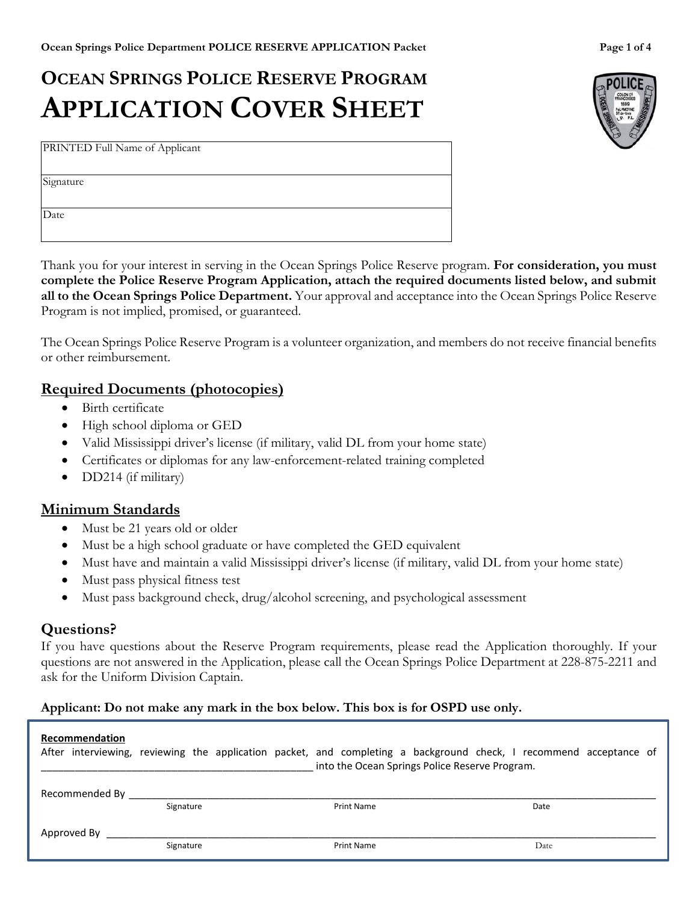# **OCEAN SPRINGS POLICE RESERVE PROGRAM APPLICATION COVER SHEET**

PRINTED Full Name of Applicant

Signature

Date

Thank you for your interest in serving in the Ocean Springs Police Reserve program. **For consideration, you must complete the Police Reserve Program Application, attach the required documents listed below, and submit all to the Ocean Springs Police Department.** Your approval and acceptance into the Ocean Springs Police Reserve Program is not implied, promised, or guaranteed.

The Ocean Springs Police Reserve Program is a volunteer organization, and members do not receive financial benefits or other reimbursement.

## **Required Documents (photocopies)**

- Birth certificate
- High school diploma or GED
- Valid Mississippi driver's license (if military, valid DL from your home state)
- Certificates or diplomas for any law-enforcement-related training completed
- DD214 (if military)

## **Minimum Standards**

- Must be 21 years old or older
- Must be a high school graduate or have completed the GED equivalent
- Must have and maintain a valid Mississippi driver's license (if military, valid DL from your home state)
- Must pass physical fitness test
- Must pass background check, drug/alcohol screening, and psychological assessment

## **Questions?**

If you have questions about the Reserve Program requirements, please read the Application thoroughly. If your questions are not answered in the Application, please call the Ocean Springs Police Department at 228-875-2211 and ask for the Uniform Division Captain.

#### **Applicant: Do not make any mark in the box below. This box is for OSPD use only.**

#### **Recommendation**

|                |           |                   | After interviewing, reviewing the application packet, and completing a background check, I recommend acceptance of<br>into the Ocean Springs Police Reserve Program. |  |
|----------------|-----------|-------------------|----------------------------------------------------------------------------------------------------------------------------------------------------------------------|--|
| Recommended By | Signature | <b>Print Name</b> | Date                                                                                                                                                                 |  |
| Approved By    | Signature | <b>Print Name</b> | Date                                                                                                                                                                 |  |

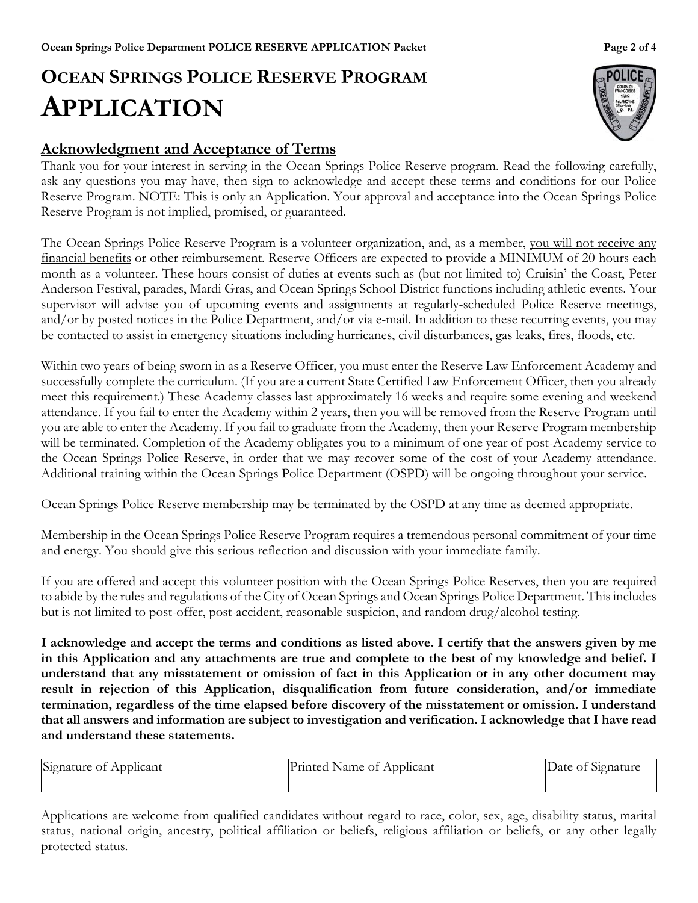# **OCEAN SPRINGS POLICE RESERVE PROGRAM APPLICATION**

# **Acknowledgment and Acceptance of Terms**

Thank you for your interest in serving in the Ocean Springs Police Reserve program. Read the following carefully, ask any questions you may have, then sign to acknowledge and accept these terms and conditions for our Police Reserve Program. NOTE: This is only an Application. Your approval and acceptance into the Ocean Springs Police Reserve Program is not implied, promised, or guaranteed.

The Ocean Springs Police Reserve Program is a volunteer organization, and, as a member, you will not receive any financial benefits or other reimbursement. Reserve Officers are expected to provide a MINIMUM of 20 hours each month as a volunteer. These hours consist of duties at events such as (but not limited to) Cruisin' the Coast, Peter Anderson Festival, parades, Mardi Gras, and Ocean Springs School District functions including athletic events. Your supervisor will advise you of upcoming events and assignments at regularly-scheduled Police Reserve meetings, and/or by posted notices in the Police Department, and/or via e-mail. In addition to these recurring events, you may be contacted to assist in emergency situations including hurricanes, civil disturbances, gas leaks, fires, floods, etc.

Within two years of being sworn in as a Reserve Officer, you must enter the Reserve Law Enforcement Academy and successfully complete the curriculum. (If you are a current State Certified Law Enforcement Officer, then you already meet this requirement.) These Academy classes last approximately 16 weeks and require some evening and weekend attendance. If you fail to enter the Academy within 2 years, then you will be removed from the Reserve Program until you are able to enter the Academy. If you fail to graduate from the Academy, then your Reserve Program membership will be terminated. Completion of the Academy obligates you to a minimum of one year of post-Academy service to the Ocean Springs Police Reserve, in order that we may recover some of the cost of your Academy attendance. Additional training within the Ocean Springs Police Department (OSPD) will be ongoing throughout your service.

Ocean Springs Police Reserve membership may be terminated by the OSPD at any time as deemed appropriate.

Membership in the Ocean Springs Police Reserve Program requires a tremendous personal commitment of your time and energy. You should give this serious reflection and discussion with your immediate family.

If you are offered and accept this volunteer position with the Ocean Springs Police Reserves, then you are required to abide by the rules and regulations of the City of Ocean Springs and Ocean Springs Police Department. This includes but is not limited to post-offer, post-accident, reasonable suspicion, and random drug/alcohol testing.

**I acknowledge and accept the terms and conditions as listed above. I certify that the answers given by me in this Application and any attachments are true and complete to the best of my knowledge and belief. I understand that any misstatement or omission of fact in this Application or in any other document may result in rejection of this Application, disqualification from future consideration, and/or immediate termination, regardless of the time elapsed before discovery of the misstatement or omission. I understand that all answers and information are subject to investigation and verification. I acknowledge that I have read and understand these statements.**

| Signature of Applicant | Printed Name of Applicant | Date of Signature |
|------------------------|---------------------------|-------------------|
|                        |                           |                   |

Applications are welcome from qualified candidates without regard to race, color, sex, age, disability status, marital status, national origin, ancestry, political affiliation or beliefs, religious affiliation or beliefs, or any other legally protected status.

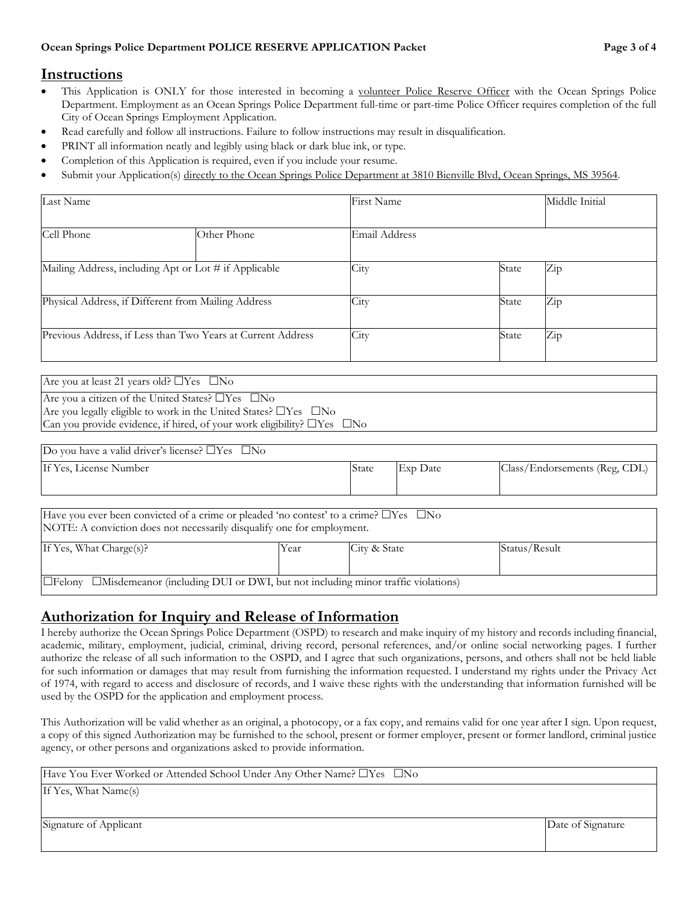#### **Instructions**

- This Application is ONLY for those interested in becoming a volunteer Police Reserve Officer with the Ocean Springs Police Department. Employment as an Ocean Springs Police Department full-time or part-time Police Officer requires completion of the full City of Ocean Springs Employment Application.
- Read carefully and follow all instructions. Failure to follow instructions may result in disqualification.
- PRINT all information neatly and legibly using black or dark blue ink, or type.
- Completion of this Application is required, even if you include your resume.
- Submit your Application(s) directly to the Ocean Springs Police Department at 3810 Bienville Blvd, Ocean Springs, MS 39564.

| Last Name                                                   |             | First Name    |       | Middle Initial |
|-------------------------------------------------------------|-------------|---------------|-------|----------------|
|                                                             |             |               |       |                |
| Cell Phone                                                  | Other Phone | Email Address |       |                |
|                                                             |             |               |       |                |
| Mailing Address, including Apt or Lot # if Applicable       |             | City          | State | Zip            |
|                                                             |             |               |       |                |
| Physical Address, if Different from Mailing Address         |             | City          | State | Zip            |
|                                                             |             |               |       |                |
| Previous Address, if Less than Two Years at Current Address |             | City          | State | Zip            |
|                                                             |             |               |       |                |

| Are you at least 21 years old? $\Box$ Yes $\Box$ No                                |
|------------------------------------------------------------------------------------|
| Are you a citizen of the United States? $\Box$ Yes $\Box$ No                       |
| Are you legally eligible to work in the United States? $\Box$ Yes $\Box$ No        |
| Can you provide evidence, if hired, of your work eligibility? $\Box$ Yes $\Box$ No |

| Do you have a valid driver's license? $\Box$ Yes $\Box$ No                                       |      |              |          |                               |  |  |
|--------------------------------------------------------------------------------------------------|------|--------------|----------|-------------------------------|--|--|
| If Yes, License Number                                                                           |      | State        | Exp Date | Class/Endorsements (Reg, CDL) |  |  |
|                                                                                                  |      |              |          |                               |  |  |
| Have you ever been convicted of a crime or pleaded 'no contest' to a crime? $\Box$ Yes $\Box$ No |      |              |          |                               |  |  |
| NOTE: A conviction does not necessarily disqualify one for employment.                           |      |              |          |                               |  |  |
| If Yes, What Charge(s)?                                                                          | Year | City & State |          | Status/Result                 |  |  |

# **Authorization for Inquiry and Release of Information**

 $\Box$  Felony  $\Box$  Misdemeanor (including DUI or DWI, but not including minor traffic violations)

I hereby authorize the Ocean Springs Police Department (OSPD) to research and make inquiry of my history and records including financial, academic, military, employment, judicial, criminal, driving record, personal references, and/or online social networking pages. I further authorize the release of all such information to the OSPD, and I agree that such organizations, persons, and others shall not be held liable for such information or damages that may result from furnishing the information requested. I understand my rights under the Privacy Act of 1974, with regard to access and disclosure of records, and I waive these rights with the understanding that information furnished will be used by the OSPD for the application and employment process.

This Authorization will be valid whether as an original, a photocopy, or a fax copy, and remains valid for one year after I sign. Upon request, a copy of this signed Authorization may be furnished to the school, present or former employer, present or former landlord, criminal justice agency, or other persons and organizations asked to provide information.

| Have You Ever Worked or Attended School Under Any Other Name? □Yes □No |  |
|------------------------------------------------------------------------|--|
|------------------------------------------------------------------------|--|

If Yes, What Name(s)

Signature of Applicant **Date of Signature** Date of Signature **Date of Signature**